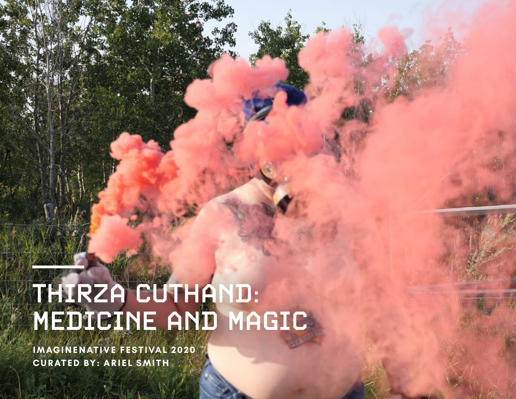# THIRZA CUTHAND: MEDICINE AND MAGIC

**IMAGINENATIVE FESTIVAL 2020 CURATED BY: ARIEL SMITH**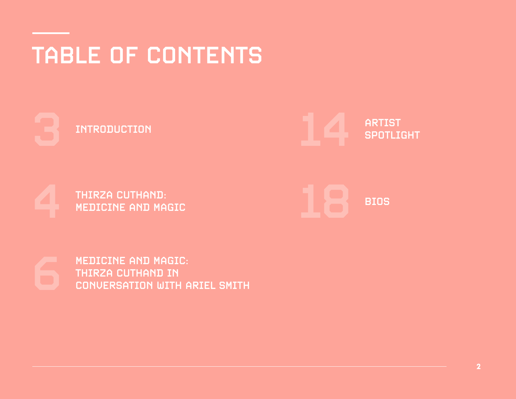# TABLE OF CONTENTS

**INTRODUCTION** 

ARTIST<br>SPOTLIGHT

THIRZA CUTHAND:<br>MEDICINE AND MAGIC



MEDICINE AND MAGIC: THIRZA CUTHAND IN<br>CONVERSATION WITH ARIEL SMITH

**2**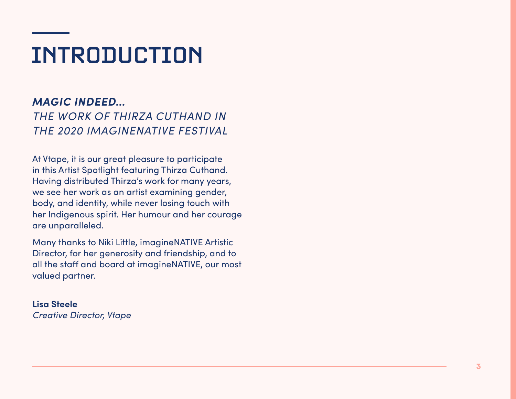# INTRODUCTION

*MAGIC INDEED… THE WORK OF THIRZA CUTHAND IN THE 2020 IMAGINENATIVE FESTIVAL*

At Vtape, it is our great pleasure to participate in this Artist Spotlight featuring Thirza Cuthand. Having distributed Thirza's work for many years, we see her work as an artist examining gender, body, and identity, while never losing touch with her Indigenous spirit. Her humour and her courage are unparalleled.

Many thanks to Niki Little, imagineNATIVE Artistic Director, for her generosity and friendship, and to all the staff and board at imagineNATIVE, our most valued partner.

### **Lisa Steele** *Creative Director, Vtape*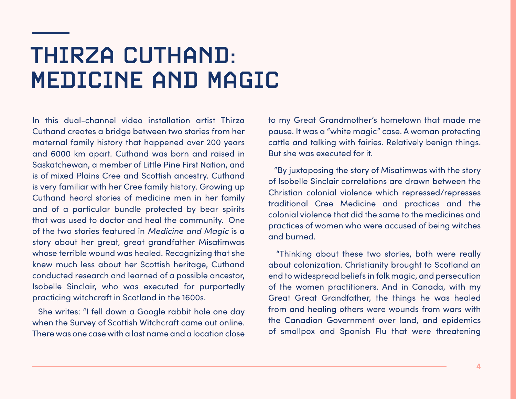## THIRZA CUTHAND: MEDICINE AND MAGIC

In this dual-channel video installation artist Thirza Cuthand creates a bridge between two stories from her maternal family history that happened over 200 years and 6000 km apart. Cuthand was born and raised in Saskatchewan, a member of Little Pine First Nation, and is of mixed Plains Cree and Scottish ancestry. Cuthand is very familiar with her Cree family history. Growing up Cuthand heard stories of medicine men in her family and of a particular bundle protected by bear spirits that was used to doctor and heal the community. One of the two stories featured in *Medicine and Magic* is a story about her great, great grandfather Misatimwas whose terrible wound was healed. Recognizing that she knew much less about her Scottish heritage, Cuthand conducted research and learned of a possible ancestor, Isobelle Sinclair, who was executed for purportedly practicing witchcraft in Scotland in the 1600s.

She writes: "I fell down a Google rabbit hole one day when the Survey of Scottish Witchcraft came out online. There was one case with a last name and a location close to my Great Grandmother's hometown that made me pause. It was a "white magic" case. A woman protecting cattle and talking with fairies. Relatively benign things. But she was executed for it.

"By juxtaposing the story of Misatimwas with the story of Isobelle Sinclair correlations are drawn between the Christian colonial violence which repressed/represses traditional Cree Medicine and practices and the colonial violence that did the same to the medicines and practices of women who were accused of being witches and burned.

"Thinking about these two stories, both were really about colonization. Christianity brought to Scotland an end to widespread beliefs in folk magic, and persecution of the women practitioners. And in Canada, with my Great Great Grandfather, the things he was healed from and healing others were wounds from wars with the Canadian Government over land, and epidemics of smallpox and Spanish Flu that were threatening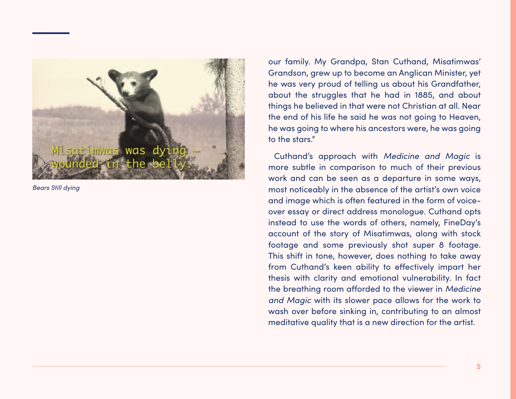

*Bears Still dying*

our family. My Grandpa, Stan Cuthand, Misatimwas' Grandson, grew up to become an Anglican Minister, yet he was very proud of telling us about his Grandfather, about the struggles that he had in 1885, and about things he believed in that were not Christian at all. Near the end of his life he said he was not going to Heaven, he was going to where his ancestors were, he was going to the stars."

Cuthand's approach with *Medicine and Magic* is more subtle in comparison to much of their previous work and can be seen as a departure in some ways, most noticeably in the absence of the artist's own voice and image which is often featured in the form of voiceover essay or direct address monologue. Cuthand opts instead to use the words of others, namely, FineDay's account of the story of Misatimwas, along with stock footage and some previously shot super 8 footage. This shift in tone, however, does nothing to take away from Cuthand's keen ability to effectively impart her thesis with clarity and emotional vulnerability. In fact the breathing room afforded to the viewer in *Medicine and Magic* with its slower pace allows for the work to wash over before sinking in, contributing to an almost meditative quality that is a new direction for the artist.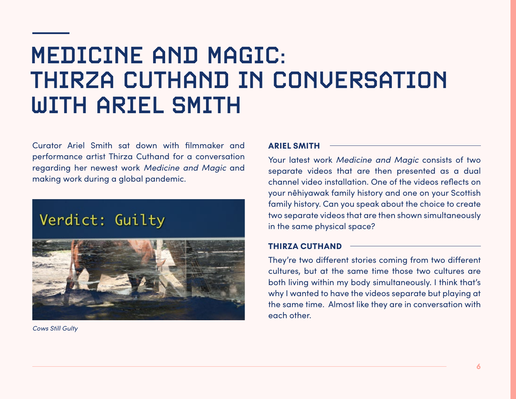## MEDICINE AND MAGIC: THIRZA CUTHAND IN CONVERSATION WITH ARIEL SMITH

Curator Ariel Smith sat down with filmmaker and performance artist Thirza Cuthand for a conversation regarding her newest work *Medicine and Magic* and making work during a global pandemic.

## Verdict: Guilty



*Cows Still Gulty*

### **ARIEL SMITH**

Your latest work *Medicine and Magic* consists of two separate videos that are then presented as a dual channel video installation. One of the videos reflects on your nêhiyawak family history and one on your Scottish family history. Can you speak about the choice to create two separate videos that are then shown simultaneously in the same physical space?

### **THIRZA CUTHAND**

They're two different stories coming from two different cultures, but at the same time those two cultures are both living within my body simultaneously. I think that's why I wanted to have the videos separate but playing at the same time. Almost like they are in conversation with each other.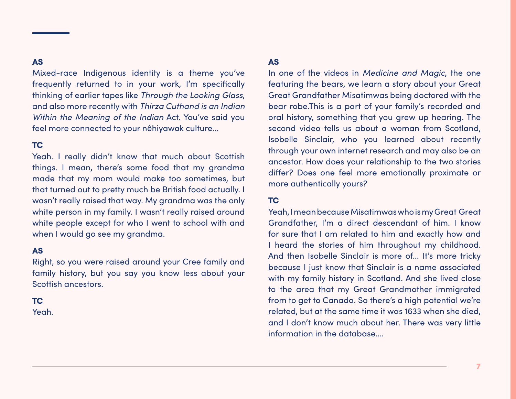Mixed-race Indigenous identity is a theme you've frequently returned to in your work, I'm specifically thinking of earlier tapes like *Through the Looking Glass*, and also more recently with *Thirza Cuthand is an Indian Within the Meaning of the Indian* Act. You've said you feel more connected to your nêhiyawak culture...

### **TC**

Yeah. I really didn't know that much about Scottish things. I mean, there's some food that my grandma made that my mom would make too sometimes, but that turned out to pretty much be British food actually. I wasn't really raised that way. My grandma was the only white person in my family. I wasn't really raised around white people except for who I went to school with and when I would go see my grandma.

### **AS**

Right, so you were raised around your Cree family and family history, but you say you know less about your Scottish ancestors.

### **TC**

Yeah.

### **AS**

In one of the videos in *Medicine and Magic*, the one featuring the bears, we learn a story about your Great Great Grandfather Misatimwas being doctored with the bear robe.This is a part of your family's recorded and oral history, something that you grew up hearing. The second video tells us about a woman from Scotland, Isobelle Sinclair, who you learned about recently through your own internet research and may also be an ancestor. How does your relationship to the two stories differ? Does one feel more emotionally proximate or more authentically yours?

### **TC**

Yeah, I mean because Misatimwas who is my Great Great Grandfather, I'm a direct descendant of him. I know for sure that I am related to him and exactly how and I heard the stories of him throughout my childhood. And then Isobelle Sinclair is more of... It's more tricky because I just know that Sinclair is a name associated with my family history in Scotland. And she lived close to the area that my Great Grandmother immigrated from to get to Canada. So there's a high potential we're related, but at the same time it was 1633 when she died, and I don't know much about her. There was very little information in the database….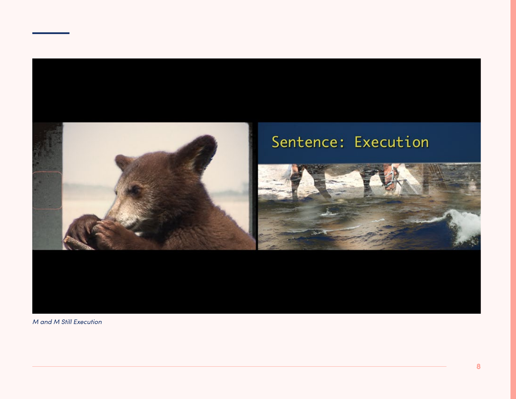

*M and M Still Execution*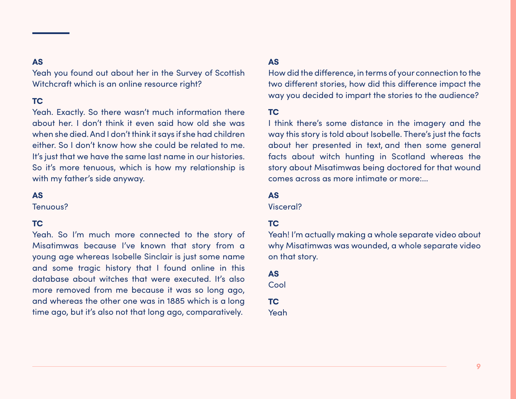Yeah you found out about her in the Survey of Scottish Witchcraft which is an online resource right?

### **TC**

Yeah. Exactly. So there wasn't much information there about her. I don't think it even said how old she was when she died. And I don't think it says if she had children either. So I don't know how she could be related to me. It's just that we have the same last name in our histories. So it's more tenuous, which is how my relationship is with my father's side anyway.

### **AS**

Tenuous?

### **TC**

Yeah. So I'm much more connected to the story of Misatimwas because I've known that story from a young age whereas Isobelle Sinclair is just some name and some tragic history that I found online in this database about witches that were executed. It's also more removed from me because it was so long ago, and whereas the other one was in 1885 which is a long time ago, but it's also not that long ago, comparatively.

### **AS**

How did the difference, in terms of your connection to the two different stories, how did this difference impact the way you decided to impart the stories to the audience?

### **TC**

I think there's some distance in the imagery and the way this story is told about Isobelle. There's just the facts about her presented in text, and then some general facts about witch hunting in Scotland whereas the story about Misatimwas being doctored for that wound comes across as more intimate or more:...

### **AS**

Visceral?

### **TC**

Yeah! I'm actually making a whole separate video about why Misatimwas was wounded, a whole separate video on that story.

### **AS**

Cool

**TC** Yeah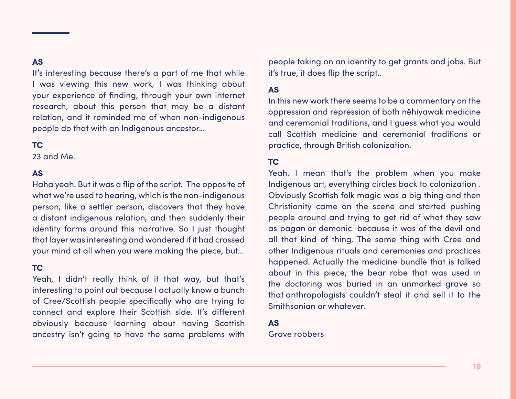It's interesting because there's a part of me that while I was viewing this new work, I was thinking about your experience of finding, through your own internet research, about this person that may be a distant relation, and it reminded me of when non-indigenous people do that with an Indigenous ancestor…

### **TC**

23 and Me.

### **AS**

Haha yeah. But it was a flip of the script. The opposite of what we're used to hearing, which is the non-indigenous person, like a settler person, discovers that they have a distant indigenous relation, and then suddenly their identity forms around this narrative. So I just thought that layer was interesting and wondered if it had crossed your mind at all when you were making the piece, but...

### **TC**

Yeah, I didn't really think of it that way, but that's interesting to point out because I actually know a bunch of Cree/Scottish people specifically who are trying to connect and explore their Scottish side. It's different obviously because learning about having Scottish ancestry isn't going to have the same problems with people taking on an identity to get grants and jobs. But it's true, it does flip the script..

### **AS**

In this new work there seems to be a commentary on the oppression and repression of both nêhiyawak medicine and ceremonial traditions, and I guess what you would call Scottish medicine and ceremonial traditions or practice, through British colonization.

### **TC**

Yeah. I mean that's the problem when you make Indigenous art, everything circles back to colonization . Obviously Scottish folk magic was a big thing and then Christianity came on the scene and started pushing people around and trying to get rid of what they saw as pagan or demonic because it was of the devil and all that kind of thing. The same thing with Cree and other Indigenous rituals and ceremonies and practices happened. Actually the medicine bundle that is talked about in this piece, the bear robe that was used in the doctoring was buried in an unmarked grave so that anthropologists couldn't steal it and sell it to the Smithsonian or whatever.

### **AS**

Grave robbers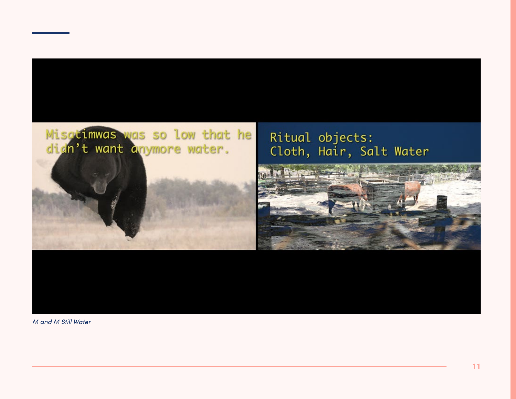## Misatimwas was so low that he dign't want anymore water.



## Ritual objects: Cloth, Hair, Salt Water



*M and M Still Water*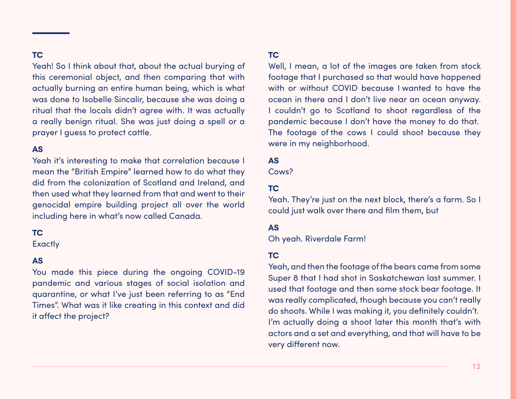### **TC**

Yeah! So I think about that, about the actual burying of this ceremonial object, and then comparing that with actually burning an entire human being, which is what was done to Isobelle Sincalir, because she was doing a ritual that the locals didn't agree with. It was actually a really benign ritual. She was just doing a spell or a prayer I guess to protect cattle.

### **AS**

Yeah it's interesting to make that correlation because I mean the "British Empire" learned how to do what they did from the colonization of Scotland and Ireland, and then used what they learned from that and went to their genocidal empire building project all over the world including here in what's now called Canada.

### **TC**

**Exactly** 

### **AS**

You made this piece during the ongoing COVID-19 pandemic and various stages of social isolation and quarantine, or what I've just been referring to as "End Times". What was it like creating in this context and did it affect the project?

### **TC**

Well, I mean, a lot of the images are taken from stock footage that I purchased so that would have happened with or without COVID because I wanted to have the ocean in there and I don't live near an ocean anyway. I couldn't go to Scotland to shoot regardless of the pandemic because I don't have the money to do that. The footage of the cows I could shoot because they were in my neighborhood.

### **AS**

Cows?

### **TC**

Yeah. They're just on the next block, there's a farm. So I could just walk over there and film them, but

### **AS**

Oh yeah. Riverdale Farm!

### **TC**

Yeah, and then the footage of the bears came from some Super 8 that I had shot in Saskatchewan last summer. I used that footage and then some stock bear footage. It was really complicated, though because you can't really do shoots. While I was making it, you definitely couldn't. I'm actually doing a shoot later this month that's with actors and a set and everything, and that will have to be very different now.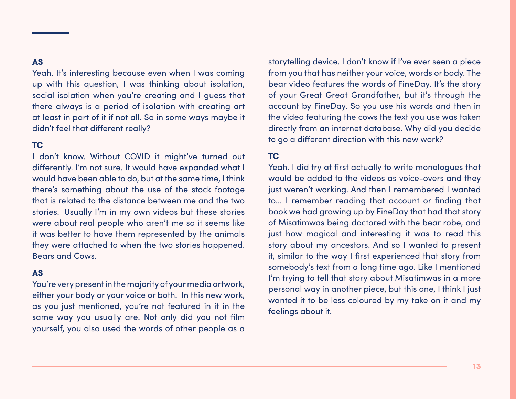Yeah. It's interesting because even when I was coming up with this question, I was thinking about isolation, social isolation when you're creating and I guess that there always is a period of isolation with creating art at least in part of it if not all. So in some ways maybe it didn't feel that different really?

### **TC**

I don't know. Without COVID it might've turned out differently. I'm not sure. It would have expanded what I would have been able to do, but at the same time, I think there's something about the use of the stock footage that is related to the distance between me and the two stories. Usually I'm in my own videos but these stories were about real people who aren't me so it seems like it was better to have them represented by the animals they were attached to when the two stories happened. Bears and Cows.

### **AS**

You're very present in the majority of your media artwork, either your body or your voice or both. In this new work, as you just mentioned, you're not featured in it in the same way you usually are. Not only did you not film yourself, you also used the words of other people as a

storytelling device. I don't know if I've ever seen a piece from you that has neither your voice, words or body. The bear video features the words of FineDay. It's the story of your Great Great Grandfather, but it's through the account by FineDay. So you use his words and then in the video featuring the cows the text you use was taken directly from an internet database. Why did you decide to go a different direction with this new work?

### **TC**

Yeah. I did try at first actually to write monologues that would be added to the videos as voice-overs and they just weren't working. And then I remembered I wanted to... I remember reading that account or finding that book we had growing up by FineDay that had that story of Misatimwas being doctored with the bear robe, and just how magical and interesting it was to read this story about my ancestors. And so I wanted to present it, similar to the way I first experienced that story from somebody's text from a long time ago. Like I mentioned I'm trying to tell that story about Misatimwas in a more personal way in another piece, but this one, I think I just wanted it to be less coloured by my take on it and my feelings about it.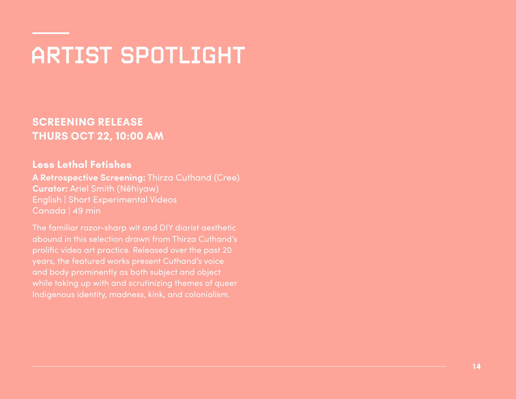# ARTIST SPOTLIGHT

**SCREENING RELEASE THURS OCT 22, 10:00 AM**

### **Less Lethal Fetishes**

**A Retrospective Screening:** Thirza Cuthand (Cree) **Curator:** Ariel Smith (Nêhiyaw) English | Short Experimental Videos Canada | 49 min

The familiar razor-sharp wit and DIY diarist aesthetic abound in this selection drawn from Thirza Cuthand's prolific video art practice. Released over the past 20 years, the featured works present Cuthand's voice and body prominently as both subject and object while taking up with and scrutinizing themes of queer Indigenous identity, madness, kink, and colonialism.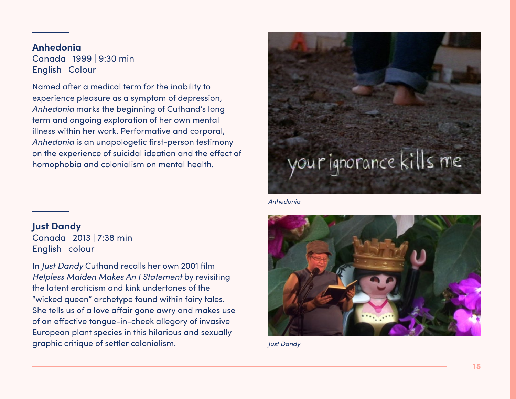### **Anhedonia**

Canada | 1999 | 9:30 min English | Colour

Named after a medical term for the inability to experience pleasure as a symptom of depression, *Anhedonia* marks the beginning of Cuthand's long term and ongoing exploration of her own mental illness within her work. Performative and corporal, *Anhedonia* is an unapologetic first-person testimony on the experience of suicidal ideation and the effect of homophobia and colonialism on mental health.

**Just Dandy** Canada | 2013 | 7:38 min English | colour

In *Just Dandy* Cuthand recalls her own 2001 film *Helpless Maiden Makes An I Statement* by revisiting the latent eroticism and kink undertones of the "wicked queen" archetype found within fairy tales. She tells us of a love affair gone awry and makes use of an effective tongue-in-cheek allegory of invasive European plant species in this hilarious and sexually graphic critique of settler colonialism.



*Anhedonia*



*Just Dandy*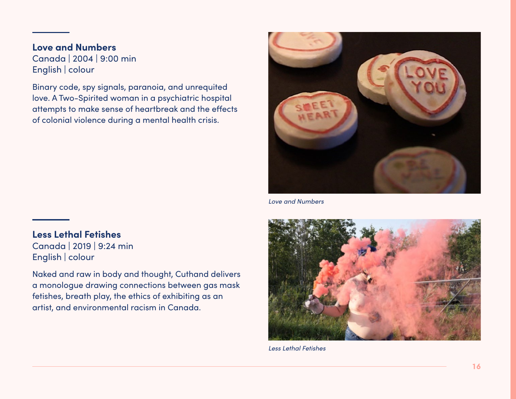### **Love and Numbers** Canada | 2004 | 9:00 min

English | colour

Binary code, spy signals, paranoia, and unrequited love. A Two-Spirited woman in a psychiatric hospital attempts to make sense of heartbreak and the effects of colonial violence during a mental health crisis.



*Love and Numbers*

### **Less Lethal Fetishes** Canada | 2019 | 9:24 min

English | colour

Naked and raw in body and thought, Cuthand delivers a monologue drawing connections between gas mask fetishes, breath play, the ethics of exhibiting as an artist, and environmental racism in Canada.



*Less Lethal Fetishes*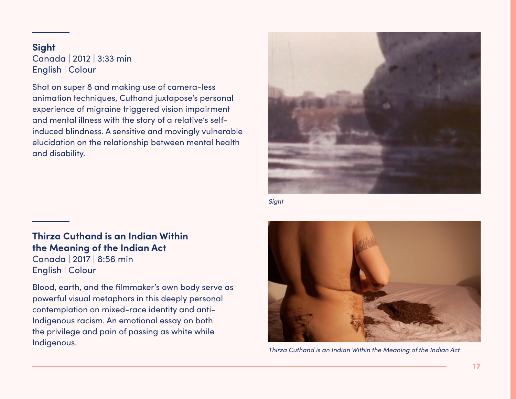### **Sight** Canada | 2012 | 3:33 min English | Colour

Shot on super 8 and making use of camera-less animation techniques, Cuthand juxtapose's personal experience of migraine triggered vision impairment and mental illness with the story of a relative's selfinduced blindness. A sensitive and movingly vulnerable elucidation on the relationship between mental health and disability.



*Sight*

### **Thirza Cuthand is an Indian Within the Meaning of the Indian Act**

Canada | 2017 | 8:56 min English | Colour

Blood, earth, and the filmmaker's own body serve as powerful visual metaphors in this deeply personal contemplation on mixed-race identity and anti-Indigenous racism. An emotional essay on both the privilege and pain of passing as white while Indigenous.



*Thirza Cuthand is an Indian Within the Meaning of the Indian Act*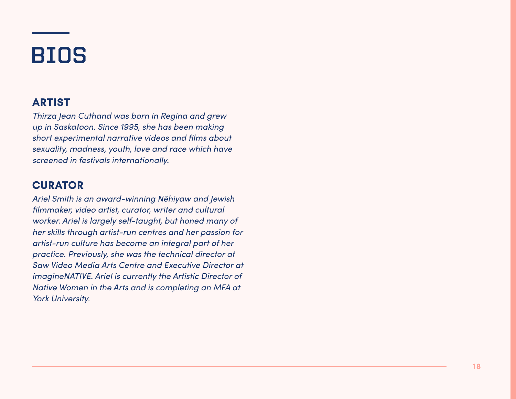# BIOS

## **ARTIST**

*Thirza Jean Cuthand was born in Regina and grew up in Saskatoon. Since 1995, she has been making short experimental narrative videos and films about sexuality, madness, youth, love and race which have screened in festivals internationally.*

## **CURATOR**

*Ariel Smith is an award-winning Nêhiyaw and Jewish filmmaker, video artist, curator, writer and cultural worker. Ariel is largely self-taught, but honed many of her skills through artist-run centres and her passion for artist-run culture has become an integral part of her practice. Previously, she was the technical director at Saw Video Media Arts Centre and Executive Director at imagineNATIVE. Ariel is currently the Artistic Director of Native Women in the Arts and is completing an MFA at York University.*